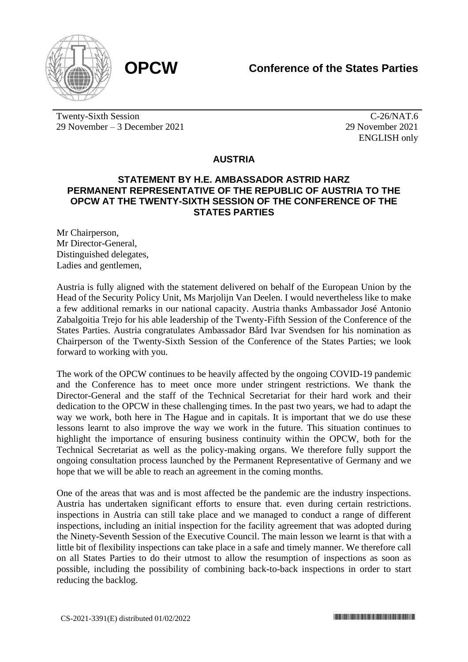

Twenty-Sixth Session 29 November – 3 December 2021

 $\overline{C-26}/NAT.6$ 29 November 2021 ENGLISH only

## **AUSTRIA**

## **STATEMENT BY H.E. AMBASSADOR ASTRID HARZ PERMANENT REPRESENTATIVE OF THE REPUBLIC OF AUSTRIA TO THE OPCW AT THE TWENTY-SIXTH SESSION OF THE CONFERENCE OF THE STATES PARTIES**

Mr Chairperson, Mr Director-General, Distinguished delegates, Ladies and gentlemen,

Austria is fully aligned with the statement delivered on behalf of the European Union by the Head of the Security Policy Unit, Ms Marjolijn Van Deelen. I would nevertheless like to make a few additional remarks in our national capacity. Austria thanks Ambassador José Antonio Zabalgoitia Trejo for his able leadership of the Twenty-Fifth Session of the Conference of the States Parties. Austria congratulates Ambassador Bård Ivar Svendsen for his nomination as Chairperson of the Twenty-Sixth Session of the Conference of the States Parties; we look forward to working with you.

The work of the OPCW continues to be heavily affected by the ongoing COVID-19 pandemic and the Conference has to meet once more under stringent restrictions. We thank the Director-General and the staff of the Technical Secretariat for their hard work and their dedication to the OPCW in these challenging times. In the past two years, we had to adapt the way we work, both here in The Hague and in capitals. It is important that we do use these lessons learnt to also improve the way we work in the future. This situation continues to highlight the importance of ensuring business continuity within the OPCW, both for the Technical Secretariat as well as the policy-making organs. We therefore fully support the ongoing consultation process launched by the Permanent Representative of Germany and we hope that we will be able to reach an agreement in the coming months.

One of the areas that was and is most affected be the pandemic are the industry inspections. Austria has undertaken significant efforts to ensure that. even during certain restrictions. inspections in Austria can still take place and we managed to conduct a range of different inspections, including an initial inspection for the facility agreement that was adopted during the Ninety-Seventh Session of the Executive Council. The main lesson we learnt is that with a little bit of flexibility inspections can take place in a safe and timely manner. We therefore call on all States Parties to do their utmost to allow the resumption of inspections as soon as possible, including the possibility of combining back-to-back inspections in order to start reducing the backlog.